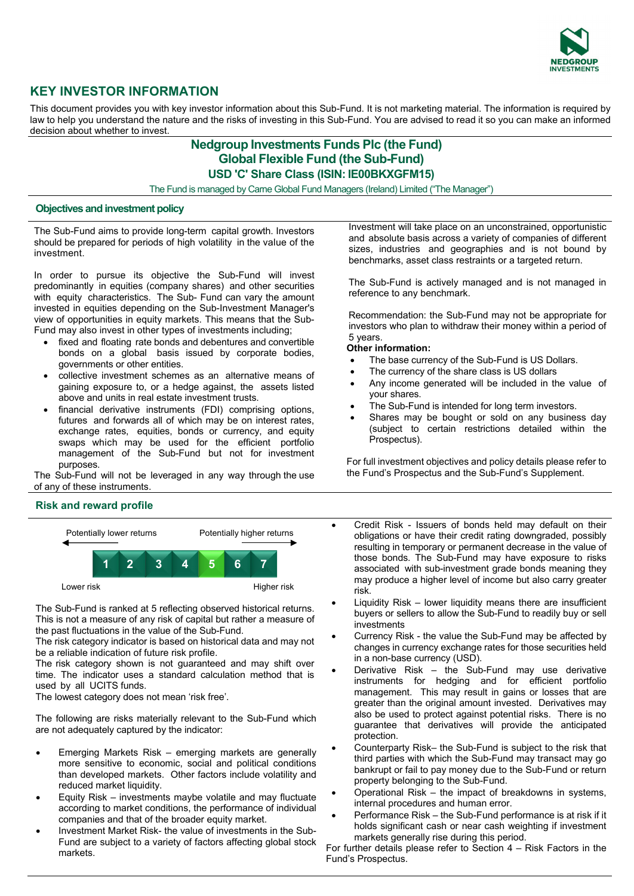

# **KEY INVESTOR INFORMATION**

This document provides you with key investor information about this Sub-Fund. It is not marketing material. The information is required by law to help you understand the nature and the risks of investing in this Sub-Fund. You are advised to read it so you can make an informed decision about whether to invest.

## **Nedgroup Investments Funds Plc (the Fund) Global Flexible Fund (the Sub-Fund) USD 'C' Share Class (ISIN: IE00BKXGFM15)**

The Fund is managed by Carne Global Fund Managers (Ireland) Limited ("The Manager")

## **Objectives and investment policy**

The Sub-Fund aims to provide long-term capital growth. Investors should be prepared for periods of high volatility in the value of the investment.

In order to pursue its objective the Sub-Fund will invest predominantly in equities (company shares) and other securities with equity characteristics. The Sub- Fund can vary the amount invested in equities depending on the Sub-Investment Manager's view of opportunities in equity markets. This means that the Sub-Fund may also invest in other types of investments including;

- fixed and floating rate bonds and debentures and convertible bonds on a global basis issued by corporate bodies, governments or other entities.
- collective investment schemes as an alternative means of gaining exposure to, or a hedge against, the assets listed above and units in real estate investment trusts.
- financial derivative instruments (FDI) comprising options, futures and forwards all of which may be on interest rates, exchange rates, equities, bonds or currency, and equity swaps which may be used for the efficient portfolio management of the Sub-Fund but not for investment purposes.

The Sub-Fund will not be leveraged in any way through the use of any of these instruments.

## **Risk and reward profile**



The Sub-Fund is ranked at 5 reflecting observed historical returns. This is not a measure of any risk of capital but rather a measure of the past fluctuations in the value of the Sub-Fund.

The risk category indicator is based on historical data and may not be a reliable indication of future risk profile.

The risk category shown is not guaranteed and may shift over time. The indicator uses a standard calculation method that is used by all UCITS funds.

The lowest category does not mean 'risk free'.

The following are risks materially relevant to the Sub-Fund which are not adequately captured by the indicator:

- Emerging Markets Risk emerging markets are generally more sensitive to economic, social and political conditions than developed markets. Other factors include volatility and reduced market liquidity.
- Equity Risk investments maybe volatile and may fluctuate according to market conditions, the performance of individual companies and that of the broader equity market.
- Investment Market Risk- the value of investments in the Sub-Fund are subject to a variety of factors affecting global stock markets.

Investment will take place on an unconstrained, opportunistic and absolute basis across a variety of companies of different sizes, industries and geographies and is not bound by benchmarks, asset class restraints or a targeted return.

The Sub-Fund is actively managed and is not managed in reference to any benchmark.

Recommendation: the Sub-Fund may not be appropriate for investors who plan to withdraw their money within a period of 5 years.

#### **Other information:**

- The base currency of the Sub-Fund is US Dollars.
- The currency of the share class is US dollars
- Any income generated will be included in the value of your shares.
- The Sub-Fund is intended for long term investors.
- Shares may be bought or sold on any business day (subject to certain restrictions detailed within the Prospectus).

For full investment objectives and policy details please refer to the Fund's Prospectus and the Sub-Fund's Supplement.

- Credit Risk Issuers of bonds held may default on their obligations or have their credit rating downgraded, possibly resulting in temporary or permanent decrease in the value of those bonds. The Sub-Fund may have exposure to risks associated with sub-investment grade bonds meaning they may produce a higher level of income but also carry greater risk.
- Liquidity Risk lower liquidity means there are insufficient buyers or sellers to allow the Sub-Fund to readily buy or sell investments
- Currency Risk the value the Sub-Fund may be affected by changes in currency exchange rates for those securities held in a non-base currency (USD).
- Derivative Risk the Sub-Fund may use derivative instruments for hedging and for efficient portfolio management. This may result in gains or losses that are greater than the original amount invested. Derivatives may also be used to protect against potential risks. There is no guarantee that derivatives will provide the anticipated protection.
- Counterparty Risk– the Sub-Fund is subject to the risk that third parties with which the Sub-Fund may transact may go bankrupt or fail to pay money due to the Sub-Fund or return property belonging to the Sub-Fund.
- Operational Risk the impact of breakdowns in systems, internal procedures and human error.
- Performance Risk the Sub-Fund performance is at risk if it holds significant cash or near cash weighting if investment markets generally rise during this period.

For further details please refer to Section 4 – Risk Factors in the Fund's Prospectus.